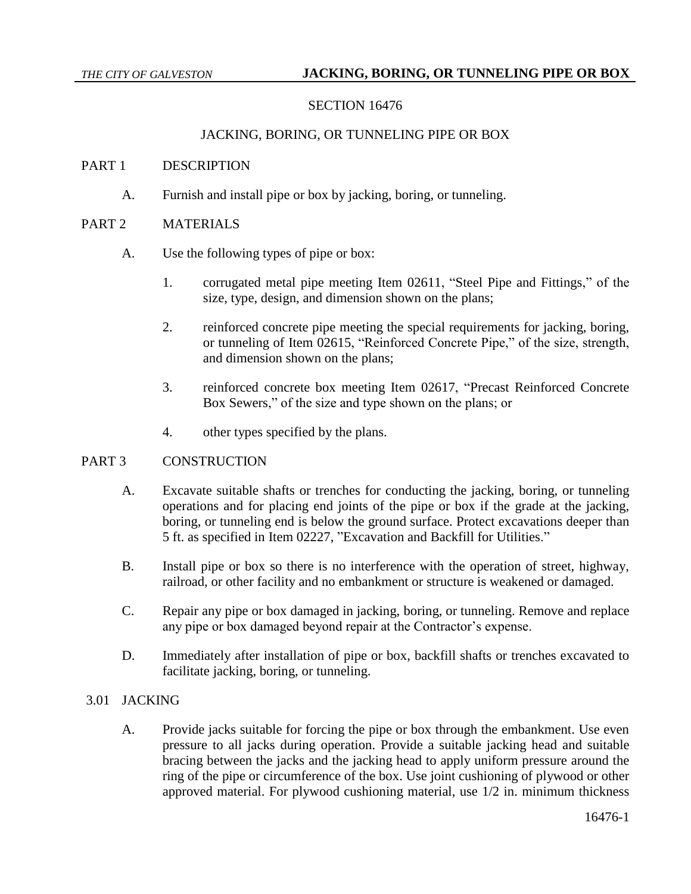# SECTION 16476

## JACKING, BORING, OR TUNNELING PIPE OR BOX

## PART 1 DESCRIPTION

A. Furnish and install pipe or box by jacking, boring, or tunneling.

## PART 2 MATERIALS

- A. Use the following types of pipe or box:
	- 1. corrugated metal pipe meeting Item 02611, "Steel Pipe and Fittings," of the size, type, design, and dimension shown on the plans;
	- 2. reinforced concrete pipe meeting the special requirements for jacking, boring, or tunneling of Item 02615, "Reinforced Concrete Pipe," of the size, strength, and dimension shown on the plans;
	- 3. reinforced concrete box meeting Item 02617, "Precast Reinforced Concrete Box Sewers," of the size and type shown on the plans; or
	- 4. other types specified by the plans.

#### PART 3 CONSTRUCTION

- A. Excavate suitable shafts or trenches for conducting the jacking, boring, or tunneling operations and for placing end joints of the pipe or box if the grade at the jacking, boring, or tunneling end is below the ground surface. Protect excavations deeper than 5 ft. as specified in Item 02227, "Excavation and Backfill for Utilities."
- B. Install pipe or box so there is no interference with the operation of street, highway, railroad, or other facility and no embankment or structure is weakened or damaged.
- C. Repair any pipe or box damaged in jacking, boring, or tunneling. Remove and replace any pipe or box damaged beyond repair at the Contractor's expense.
- D. Immediately after installation of pipe or box, backfill shafts or trenches excavated to facilitate jacking, boring, or tunneling.

## 3.01 JACKING

A. Provide jacks suitable for forcing the pipe or box through the embankment. Use even pressure to all jacks during operation. Provide a suitable jacking head and suitable bracing between the jacks and the jacking head to apply uniform pressure around the ring of the pipe or circumference of the box. Use joint cushioning of plywood or other approved material. For plywood cushioning material, use 1/2 in. minimum thickness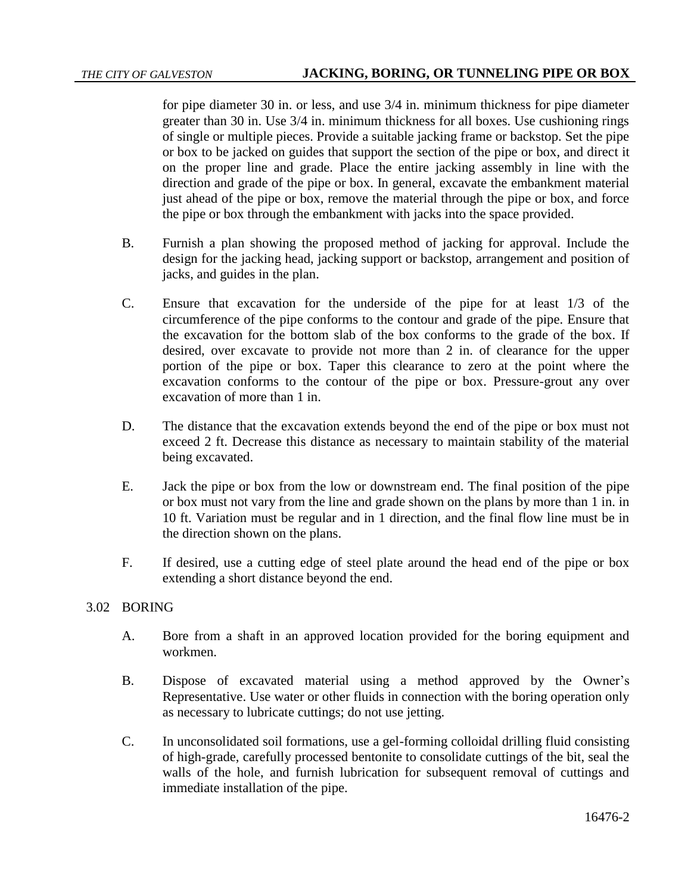for pipe diameter 30 in. or less, and use 3/4 in. minimum thickness for pipe diameter greater than 30 in. Use 3/4 in. minimum thickness for all boxes. Use cushioning rings of single or multiple pieces. Provide a suitable jacking frame or backstop. Set the pipe or box to be jacked on guides that support the section of the pipe or box, and direct it on the proper line and grade. Place the entire jacking assembly in line with the direction and grade of the pipe or box. In general, excavate the embankment material just ahead of the pipe or box, remove the material through the pipe or box, and force the pipe or box through the embankment with jacks into the space provided.

- B. Furnish a plan showing the proposed method of jacking for approval. Include the design for the jacking head, jacking support or backstop, arrangement and position of jacks, and guides in the plan.
- C. Ensure that excavation for the underside of the pipe for at least 1/3 of the circumference of the pipe conforms to the contour and grade of the pipe. Ensure that the excavation for the bottom slab of the box conforms to the grade of the box. If desired, over excavate to provide not more than 2 in. of clearance for the upper portion of the pipe or box. Taper this clearance to zero at the point where the excavation conforms to the contour of the pipe or box. Pressure-grout any over excavation of more than 1 in.
- D. The distance that the excavation extends beyond the end of the pipe or box must not exceed 2 ft. Decrease this distance as necessary to maintain stability of the material being excavated.
- E. Jack the pipe or box from the low or downstream end. The final position of the pipe or box must not vary from the line and grade shown on the plans by more than 1 in. in 10 ft. Variation must be regular and in 1 direction, and the final flow line must be in the direction shown on the plans.
- F. If desired, use a cutting edge of steel plate around the head end of the pipe or box extending a short distance beyond the end.

#### 3.02 BORING

- A. Bore from a shaft in an approved location provided for the boring equipment and workmen.
- B. Dispose of excavated material using a method approved by the Owner's Representative. Use water or other fluids in connection with the boring operation only as necessary to lubricate cuttings; do not use jetting.
- C. In unconsolidated soil formations, use a gel-forming colloidal drilling fluid consisting of high-grade, carefully processed bentonite to consolidate cuttings of the bit, seal the walls of the hole, and furnish lubrication for subsequent removal of cuttings and immediate installation of the pipe.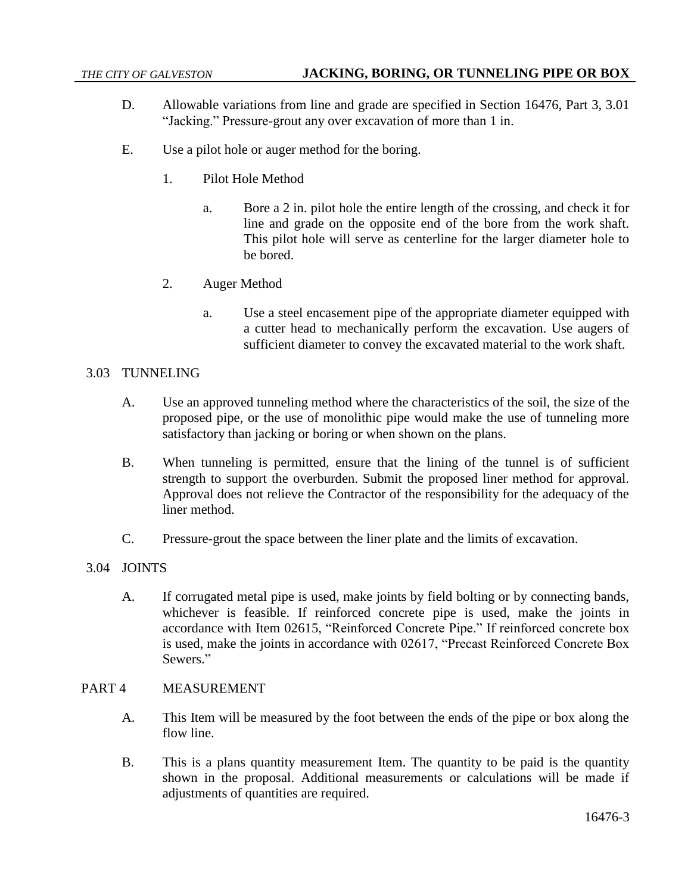- D. Allowable variations from line and grade are specified in Section 16476, Part 3, 3.01 "Jacking." Pressure-grout any over excavation of more than 1 in.
- E. Use a pilot hole or auger method for the boring.
	- 1. Pilot Hole Method
		- a. Bore a 2 in. pilot hole the entire length of the crossing, and check it for line and grade on the opposite end of the bore from the work shaft. This pilot hole will serve as centerline for the larger diameter hole to be bored.
	- 2. Auger Method
		- a. Use a steel encasement pipe of the appropriate diameter equipped with a cutter head to mechanically perform the excavation. Use augers of sufficient diameter to convey the excavated material to the work shaft.

#### 3.03 TUNNELING

- A. Use an approved tunneling method where the characteristics of the soil, the size of the proposed pipe, or the use of monolithic pipe would make the use of tunneling more satisfactory than jacking or boring or when shown on the plans.
- B. When tunneling is permitted, ensure that the lining of the tunnel is of sufficient strength to support the overburden. Submit the proposed liner method for approval. Approval does not relieve the Contractor of the responsibility for the adequacy of the liner method.
- C. Pressure-grout the space between the liner plate and the limits of excavation.

## 3.04 JOINTS

A. If corrugated metal pipe is used, make joints by field bolting or by connecting bands, whichever is feasible. If reinforced concrete pipe is used, make the joints in accordance with Item 02615, "Reinforced Concrete Pipe." If reinforced concrete box is used, make the joints in accordance with 02617, "Precast Reinforced Concrete Box Sewers."

#### PART 4 MEASUREMENT

- A. This Item will be measured by the foot between the ends of the pipe or box along the flow line.
- B. This is a plans quantity measurement Item. The quantity to be paid is the quantity shown in the proposal. Additional measurements or calculations will be made if adjustments of quantities are required.